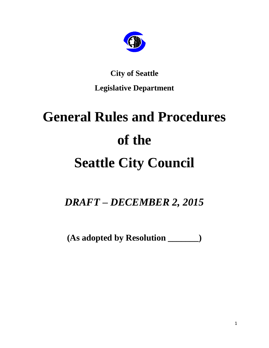

# **City of Seattle Legislative Department**

# **General Rules and Procedures of the Seattle City Council**

*DRAFT – DECEMBER 2, 2015*

**(As adopted by Resolution \_\_\_\_\_\_\_)**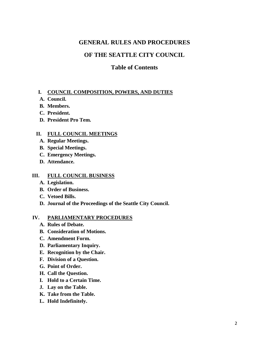# **GENERAL RULES AND PROCEDURES**

# **OF THE SEATTLE CITY COUNCIL**

## **Table of Contents**

#### **I. COUNCIL COMPOSITION, POWERS, AND DUTIES**

- **A. Council.**
- **B. Members.**
- **C. President.**
- **D. President Pro Tem.**

#### **II. FULL COUNCIL MEETINGS**

- **A. Regular Meetings.**
- **B. Special Meetings.**
- **C. Emergency Meetings.**
- **D. Attendance.**

#### **III. FULL COUNCIL BUSINESS**

- **A. Legislation.**
- **B. Order of Business.**
- **C. Vetoed Bills.**
- **D. Journal of the Proceedings of the Seattle City Council.**

#### **IV. PARLIAMENTARY PROCEDURES**

- **A. Rules of Debate.**
- **B. Consideration of Motions.**
- **C. Amendment Form.**
- **D. Parliamentary Inquiry.**
- **E. Recognition by the Chair.**
- **F. Division of a Question.**
- **G. Point of Order.**
- **H. Call the Question.**
- **I. Hold to a Certain Time.**
- **J. Lay on the Table.**
- **K. Take from the Table.**
- **L. Hold Indefinitely.**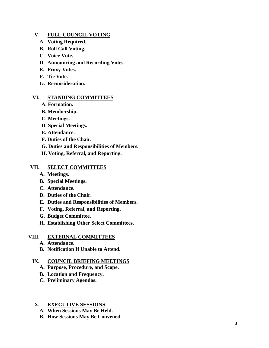#### **V. FULL COUNCIL VOTING**

- **A. Voting Required.**
- **B. Roll Call Voting.**
- **C. Voice Vote.**
- **D. Announcing and Recording Votes.**
- **E. Proxy Votes.**
- **F. Tie Vote.**
- **G. Reconsideration.**

#### **VI. STANDING COMMITTEES**

- **A. Formation.**
- **B. Membership.**
- **C. Meetings.**
- **D. Special Meetings.**
- **E. Attendance.**
- **F. Duties of the Chair.**
- **G. Duties and Responsibilities of Members.**
- **H. Voting, Referral, and Reporting.**

#### **VII. SELECT COMMITTEES**

- **A. Meetings.**
- **B. Special Meetings.**
- **C. Attendance.**
- **D. Duties of the Chair.**
- **E. Duties and Responsibilities of Members.**
- **F. Voting, Referral, and Reporting.**
- **G. Budget Committee.**
- **H. Establishing Other Select Committees.**

#### **VIII. EXTERNAL COMMITTEES**

- **A. Attendance.**
- **B. Notification If Unable to Attend.**

#### **IX. COUNCIL BRIEFING MEETINGS**

- **A. Purpose, Procedure, and Scope.**
- **B. Location and Frequency.**
- **C. Preliminary Agendas.**

#### **X. EXECUTIVE SESSIONS**

- **A. When Sessions May Be Held.**
- **B. How Sessions May Be Convened.**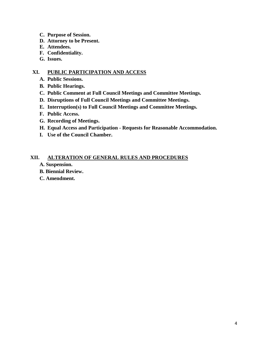- **C. Purpose of Session.**
- **D. Attorney to be Present.**
- **E. Attendees.**
- **F. Confidentiality.**
- **G. Issues.**

#### **XI. PUBLIC PARTICIPATION AND ACCESS**

- **A. Public Sessions.**
- **B. Public Hearings.**
- **C. Public Comment at Full Council Meetings and Committee Meetings.**
- **D. Disruptions of Full Council Meetings and Committee Meetings.**
- **E. Interruption(s) to Full Council Meetings and Committee Meetings.**
- **F. Public Access.**
- **G. Recording of Meetings.**
- **H. Equal Access and Participation - Requests for Reasonable Accommodation.**
- **I. Use of the Council Chamber.**

#### **XII. ALTERATION OF GENERAL RULES AND PROCEDURES**

- **A. Suspension.**
- **B. Biennial Review.**
- **C. Amendment.**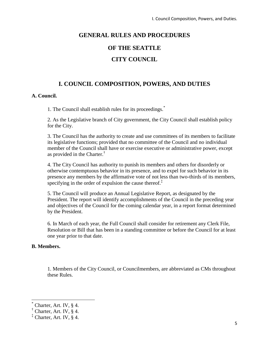# **GENERAL RULES AND PROCEDURES**

# **OF THE SEATTLE**

# **CITY COUNCIL**

# **I. COUNCIL COMPOSITION, POWERS, AND DUTIES**

#### **A. Council.**

1. The Council shall establish rules for its proceedings.\*

2. As the Legislative branch of City government, the City Council shall establish policy for the City.

3. The Council has the authority to create and use committees of its members to facilitate its legislative functions; provided that no committee of the Council and no individual member of the Council shall have or exercise executive or administrative power, except as provided in the Charter.†

4. The City Council has authority to punish its members and others for disorderly or otherwise contemptuous behavior in its presence, and to expel for such behavior in its presence any members by the affirmative vote of not less than two-thirds of its members, specifying in the order of expulsion the cause thereof. $\ddot{\ddot{\theta}}$ 

5. The Council will produce an Annual Legislative Report, as designated by the President. The report will identify accomplishments of the Council in the preceding year and objectives of the Council for the coming calendar year, in a report format determined by the President.

6. In March of each year, the Full Council shall consider for retirement any Clerk File, Resolution or Bill that has been in a standing committee or before the Council for at least one year prior to that date.

#### **B. Members.**

1. Members of the City Council, or Councilmembers, are abbreviated as CMs throughout these Rules.

 $\overline{a}$ 

Charter, Art. IV,  $§$  4.

<sup>&</sup>lt;sup>†</sup> Charter, Art. IV,  $\S$  4.

<sup>‡</sup> Charter, Art. IV, § 4.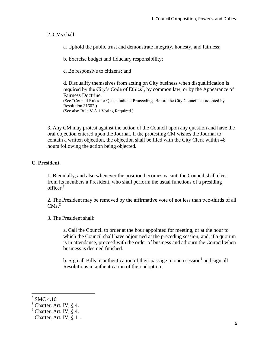#### 2. CMs shall:

a. Uphold the public trust and demonstrate integrity, honesty, and fairness;

b. Exercise budget and fiduciary responsibility;

c. Be responsive to citizens; and

d. Disqualify themselves from acting on City business when disqualification is required by the City's Code of Ethics<sup>\*</sup>, by common law, or by the Appearance of Fairness Doctrine. (See "Council Rules for Quasi-Judicial Proceedings Before the City Council" as adopted by Resolution 31602.) (See also Rule V.A.1 Voting Required.)

3. Any CM may protest against the action of the Council upon any question and have the oral objection entered upon the Journal. If the protesting CM wishes the Journal to contain a written objection, the objection shall be filed with the City Clerk within 48 hours following the action being objected.

#### **C. President.**

1. Biennially, and also whenever the position becomes vacant, the Council shall elect from its members a President, who shall perform the usual functions of a presiding officer.†

2. The President may be removed by the affirmative vote of not less than two-thirds of all CMs. ‡

3. The President shall:

a. Call the Council to order at the hour appointed for meeting, or at the hour to which the Council shall have adjourned at the preceding session, and, if a quorum is in attendance, proceed with the order of business and adjourn the Council when business is deemed finished.

b. Sign all Bills in authentication of their passage in open session<sup>§</sup> and sign all Resolutions in authentication of their adoption.

l

<sup>\*</sup> SMC 4.16.

<sup>†</sup> Charter, Art. IV, § 4.

 $\ddagger$  Charter, Art. IV, § 4.

<sup>§</sup> Charter, Art. IV, § 11.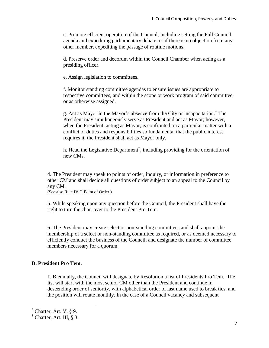c. Promote efficient operation of the Council, including setting the Full Council agenda and expediting parliamentary debate, or if there is no objection from any other member, expediting the passage of routine motions.

d. Preserve order and decorum within the Council Chamber when acting as a presiding officer.

e. Assign legislation to committees.

f. Monitor standing committee agendas to ensure issues are appropriate to respective committees, and within the scope or work program of said committee, or as otherwise assigned.

g. Act as Mayor in the Mayor's absence from the City or incapacitation. \* The President may simultaneously serve as President and act as Mayor; however, when the President, acting as Mayor, is confronted on a particular matter with a conflict of duties and responsibilities so fundamental that the public interest requires it, the President shall act as Mayor only.

h. Head the Legislative Department<sup>†</sup>, including providing for the orientation of new CMs.

4. The President may speak to points of order, inquiry, or information in preference to other CM and shall decide all questions of order subject to an appeal to the Council by any CM.

(See also Rule IV.G Point of Order.)

5. While speaking upon any question before the Council, the President shall have the right to turn the chair over to the President Pro Tem.

6. The President may create select or non-standing committees and shall appoint the membership of a select or non-standing committee as required, or as deemed necessary to efficiently conduct the business of the Council, and designate the number of committee members necessary for a quorum.

#### **D. President Pro Tem.**

1. Biennially, the Council will designate by Resolution a list of Presidents Pro Tem. The list will start with the most senior CM other than the President and continue in descending order of seniority, with alphabetical order of last name used to break ties, and the position will rotate monthly. In the case of a Council vacancy and subsequent

 $\overline{a}$ 

Charter, Art. V,  $\S$  9.

<sup>†</sup> Charter, Art. III, § 3.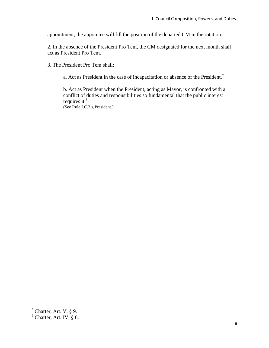appointment, the appointee will fill the position of the departed CM in the rotation.

2. In the absence of the President Pro Tem, the CM designated for the next month shall act as President Pro Tem.

3. The President Pro Tem shall:

a. Act as President in the case of incapacitation or absence of the President.\*

b. Act as President when the President, acting as Mayor, is confronted with a conflict of duties and responsibilities so fundamental that the public interest requires it.† (See Rule I.C.3.g President.)

 $\overline{a}$ 

 $*$  Charter, Art. V, § 9.

<sup>‡</sup> Charter, Art. IV, § 6.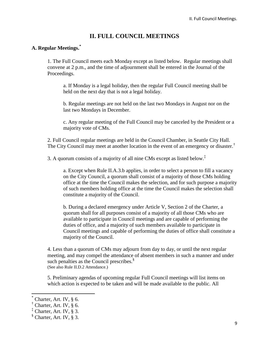# **II. FULL COUNCIL MEETINGS**

#### **A. Regular Meetings.\***

1. The Full Council meets each Monday except as listed below. Regular meetings shall convene at 2 p.m., and the time of adjournment shall be entered in the Journal of the Proceedings.

a. If Monday is a legal holiday, then the regular Full Council meeting shall be held on the next day that is not a legal holiday.

b. Regular meetings are not held on the last two Mondays in August nor on the last two Mondays in December.

c. Any regular meeting of the Full Council may be canceled by the President or a majority vote of CMs.

2. Full Council regular meetings are held in the Council Chamber, in Seattle City Hall. The City Council may meet at another location in the event of an emergency or disaster.<sup>†</sup>

3. A quorum consists of a majority of all nine CMs except as listed below.<sup>‡</sup>

a. Except when Rule II.A.3.b applies, in order to select a person to fill a vacancy on the City Council, a quorum shall consist of a majority of those CMs holding office at the time the Council makes the selection, and for such purpose a majority of such members holding office at the time the Council makes the selection shall constitute a majority of the Council.

b. During a declared emergency under Article V, Section 2 of the Charter, a quorum shall for all purposes consist of a majority of all those CMs who are available to participate in Council meetings and are capable of performing the duties of office, and a majority of such members available to participate in Council meetings and capable of performing the duties of office shall constitute a majority of the Council.

4. Less than a quorum of CMs may adjourn from day to day, or until the next regular meeting, and may compel the attendance of absent members in such a manner and under such penalties as the Council prescribes.<sup>§</sup> (See also Rule II.D.2 Attendance.)

5. Preliminary agendas of upcoming regular Full Council meetings will list items on which action is expected to be taken and will be made available to the public. All

l

Charter, Art. IV,  $§$  6.

 $<sup>†</sup>$  Charter, Art. IV, § 6.</sup>

<sup>‡</sup> Charter, Art. IV, § 3.

<sup>§</sup> Charter, Art. IV, § 3.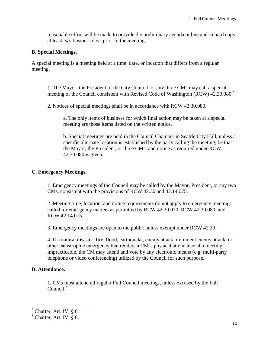reasonable effort will be made to provide the preliminary agenda online and in hard copy at least two business days prior to the meeting.

#### **B. Special Meetings.**

A special meeting is a meeting held at a time, date, or location that differs from a regular meeting.

1. The Mayor, the President of the City Council, or any three CMs may call a special meeting of the Council consistent with Revised Code of Washington (RCW) 42.30.080.<sup>\*</sup>

2. Notices of special meetings shall be in accordance with RCW 42.30.080.

a. The only items of business for which final action may be taken at a special meeting are those items listed on the written notice.

b. Special meetings are held in the Council Chamber in Seattle City Hall, unless a specific alternate location is established by the party calling the meeting, be that the Mayor, the President, or three CMs, and notice as required under RCW 42.30.080 is given.

#### **C. Emergency Meetings.**

1. Emergency meetings of the Council may be called by the Mayor, President, or any two CMs, consistent with the provisions of RCW 42.30 and 42.14.075.<sup>†</sup>

2. Meeting time, location, and notice requirements do not apply to emergency meetings called for emergency matters as permitted by RCW 42.30.070, RCW 42.30.080, and RCW 42.14.075.

3. Emergency meetings are open to the public unless exempt under RCW 42.30.

4. If a natural disaster, fire, flood, earthquake, enemy attack, imminent enemy attack, or other catastrophic emergency that renders a CM's physical attendance at a meeting impracticable, the CM may attend and vote by any electronic means (e.g. multi-party telephone or video conferencing) utilized by the Council for such purpose.

#### **D. Attendance.**

 $\overline{a}$ 

1. CMs must attend all regular Full Council meetings, unless excused by the Full Council.\*

Charter, Art. IV,  $\S$  6.

 $\uparrow$  Charter, Art. IV,  $\upbeta$  6.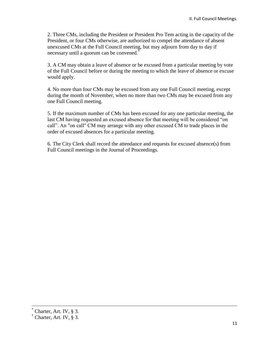2. Three CMs, including the President or President Pro Tem acting in the capacity of the President, or four CMs otherwise, are authorized to compel the attendance of absent unexcused CMs at the Full Council meeting, but may adjourn from day to day if necessary until a quorum can be convened.†

3. A CM may obtain a leave of absence or be excused from a particular meeting by vote of the Full Council before or during the meeting to which the leave of absence or excuse would apply.

4. No more than four CMs may be excused from any one Full Council meeting, except during the month of November, when no more than two CMs may be excused from any one Full Council meeting.

5. If the maximum number of CMs has been excused for any one particular meeting, the last CM having requested an excused absence for that meeting will be considered "on call". An "on call" CM may arrange with any other excused CM to trade places in the order of excused absences for a particular meeting.

6. The City Clerk shall record the attendance and requests for excused absence(s) from Full Council meetings in the Journal of Proceedings.

 $\overline{a}$ 

Charter, Art. IV,  $\S$  3.

 $\dagger$  Charter, Art. IV,  $\delta$  3.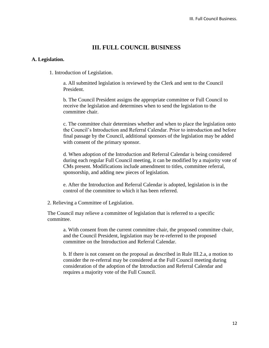### **III. FULL COUNCIL BUSINESS**

#### **A. Legislation.**

1. Introduction of Legislation.

a. All submitted legislation is reviewed by the Clerk and sent to the Council President.

b. The Council President assigns the appropriate committee or Full Council to receive the legislation and determines when to send the legislation to the committee chair.

c. The committee chair determines whether and when to place the legislation onto the Council's Introduction and Referral Calendar. Prior to introduction and before final passage by the Council, additional sponsors of the legislation may be added with consent of the primary sponsor.

d. When adoption of the Introduction and Referral Calendar is being considered during each regular Full Council meeting, it can be modified by a majority vote of CMs present. Modifications include amendment to titles, committee referral, sponsorship, and adding new pieces of legislation.

e. After the Introduction and Referral Calendar is adopted, legislation is in the control of the committee to which it has been referred.

2. Relieving a Committee of Legislation.

The Council may relieve a committee of legislation that is referred to a specific committee.

a. With consent from the current committee chair, the proposed committee chair, and the Council President, legislation may be re-referred to the proposed committee on the Introduction and Referral Calendar.

b. If there is not consent on the proposal as described in Rule III.2.a, a motion to consider the re-referral may be considered at the Full Council meeting during consideration of the adoption of the Introduction and Referral Calendar and requires a majority vote of the Full Council.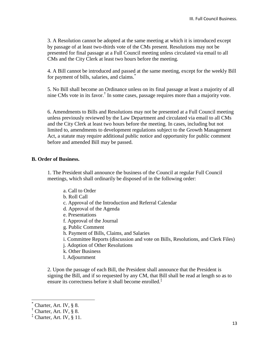3. A Resolution cannot be adopted at the same meeting at which it is introduced except by passage of at least two-thirds vote of the CMs present. Resolutions may not be presented for final passage at a Full Council meeting unless circulated via email to all CMs and the City Clerk at least two hours before the meeting.

4. A Bill cannot be introduced and passed at the same meeting, except for the weekly Bill for payment of bills, salaries, and claims.<sup>\*</sup>

5. No Bill shall become an Ordinance unless on its final passage at least a majority of all nine CMs vote in its favor.† In some cases, passage requires more than a majority vote.

6. Amendments to Bills and Resolutions may not be presented at a Full Council meeting unless previously reviewed by the Law Department and circulated via email to all CMs and the City Clerk at least two hours before the meeting. In cases, including but not limited to, amendments to development regulations subject to the Growth Management Act, a statute may require additional public notice and opportunity for public comment before and amended Bill may be passed.

#### **B. Order of Business.**

1. The President shall announce the business of the Council at regular Full Council meetings, which shall ordinarily be disposed of in the following order:

- a. Call to Order
- b. Roll Call
- c. Approval of the Introduction and Referral Calendar
- d. Approval of the Agenda
- e. Presentations
- f. Approval of the Journal
- g. Public Comment
- h. Payment of Bills, Claims, and Salaries
- i. Committee Reports (discussion and vote on Bills, Resolutions, and Clerk Files)
- j. Adoption of Other Resolutions
- k. Other Business
- l. Adjournment

2. Upon the passage of each Bill, the President shall announce that the President is signing the Bill, and if so requested by any CM, that Bill shall be read at length so as to ensure its correctness before it shall become enrolled.<sup>‡</sup>

 $\overline{a}$ 

Charter, Art. IV, § 8.

 $\dagger$  Charter, Art. IV, § 8.

 $\overline{a}$ <sup>†</sup> Charter, Art. IV,  $\overline{a}$  11.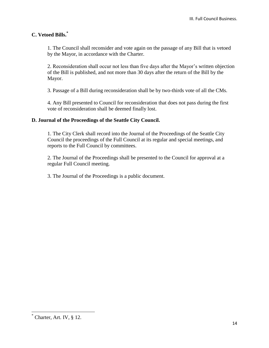#### **C. Vetoed Bills.\***

1. The Council shall reconsider and vote again on the passage of any Bill that is vetoed by the Mayor, in accordance with the Charter.

2. Reconsideration shall occur not less than five days after the Mayor's written objection of the Bill is published, and not more than 30 days after the return of the Bill by the Mayor.

3. Passage of a Bill during reconsideration shall be by two-thirds vote of all the CMs.

4. Any Bill presented to Council for reconsideration that does not pass during the first vote of reconsideration shall be deemed finally lost.

#### **D. Journal of the Proceedings of the Seattle City Council.**

1. The City Clerk shall record into the Journal of the Proceedings of the Seattle City Council the proceedings of the Full Council at its regular and special meetings, and reports to the Full Council by committees.

2. The Journal of the Proceedings shall be presented to the Council for approval at a regular Full Council meeting.

3. The Journal of the Proceedings is a public document.

 $\overline{\phantom{a}}$ 

 $\overline{\text{Chapter}}$ , Art. IV, § 12.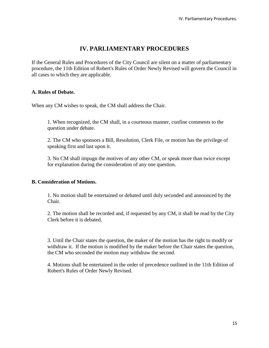# **IV. PARLIAMENTARY PROCEDURES**

If the General Rules and Procedures of the City Council are silent on a matter of parliamentary procedure, the 11th Edition of Robert's Rules of Order Newly Revised will govern the Council in all cases to which they are applicable.

#### **A. Rules of Debate.**

When any CM wishes to speak, the CM shall address the Chair.

1. When recognized, the CM shall, in a courteous manner, confine comments to the question under debate.

2. The CM who sponsors a Bill, Resolution, Clerk File, or motion has the privilege of speaking first and last upon it.

3. No CM shall impugn the motives of any other CM, or speak more than twice except for explanation during the consideration of any one question.

#### **B. Consideration of Motions.**

1. No motion shall be entertained or debated until duly seconded and announced by the Chair.

2. The motion shall be recorded and, if requested by any CM, it shall be read by the City Clerk before it is debated.

3. Until the Chair states the question, the maker of the motion has the right to modify or withdraw it. If the motion is modified by the maker before the Chair states the question, the CM who seconded the motion may withdraw the second.

4. Motions shall be entertained in the order of precedence outlined in the 11th Edition of Robert's Rules of Order Newly Revised.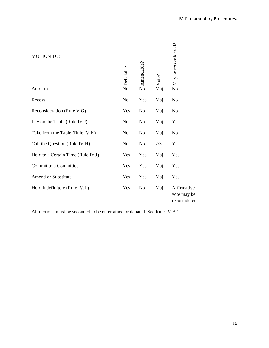| <b>MOTION TO:</b>                                                           | Debatable      | Amendable?     | Vote? | May be reconsidered?                       |
|-----------------------------------------------------------------------------|----------------|----------------|-------|--------------------------------------------|
| Adjourn                                                                     | N <sub>o</sub> | N <sub>o</sub> | Maj   | $\overline{No}$                            |
| Recess                                                                      | N <sub>o</sub> | Yes            | Maj   | N <sub>o</sub>                             |
| Reconsideration (Rule V.G)                                                  | Yes            | N <sub>o</sub> | Maj   | N <sub>o</sub>                             |
| Lay on the Table (Rule IV.J)                                                | N <sub>o</sub> | N <sub>o</sub> | Maj   | Yes                                        |
| Take from the Table (Rule IV.K)                                             | N <sub>o</sub> | N <sub>o</sub> | Maj   | N <sub>o</sub>                             |
| Call the Question (Rule IV.H)                                               | N <sub>o</sub> | N <sub>o</sub> | 2/3   | Yes                                        |
| Hold to a Certain Time (Rule IV.I)                                          | Yes            | Yes            | Maj   | Yes                                        |
| Commit to a Committee                                                       | Yes            | Yes            | Maj   | Yes                                        |
| <b>Amend or Substitute</b>                                                  | Yes            | Yes            | Maj   | Yes                                        |
| Hold Indefinitely (Rule IV.L)                                               | Yes            | N <sub>o</sub> | Maj   | Affirmative<br>vote may be<br>reconsidered |
| All motions must be seconded to be entertained or debated. See Rule IV.B.1. |                |                |       |                                            |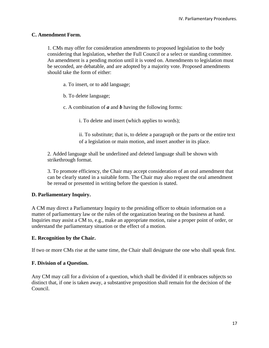#### **C. Amendment Form.**

1. CMs may offer for consideration amendments to proposed legislation to the body considering that legislation, whether the Full Council or a select or standing committee. An amendment is a pending motion until it is voted on. Amendments to legislation must be seconded, are debatable, and are adopted by a majority vote. Proposed amendments should take the form of either:

a. To insert, or to add language;

b. To delete language;

c. A combination of *a* and *b* having the following forms:

i. To delete and insert (which applies to words);

ii. To substitute; that is, to delete a paragraph or the parts or the entire text of a legislation or main motion, and insert another in its place.

2. Added language shall be underlined and deleted language shall be shown with strikethrough format.

3. To promote efficiency, the Chair may accept consideration of an oral amendment that can be clearly stated in a suitable form. The Chair may also request the oral amendment be reread or presented in writing before the question is stated.

#### **D. Parliamentary Inquiry.**

A CM may direct a Parliamentary Inquiry to the presiding officer to obtain information on a matter of parliamentary law or the rules of the organization bearing on the business at hand. Inquiries may assist a CM to, e.g., make an appropriate motion, raise a proper point of order, or understand the parliamentary situation or the effect of a motion.

#### **E. Recognition by the Chair.**

If two or more CMs rise at the same time, the Chair shall designate the one who shall speak first.

#### **F. Division of a Question.**

Any CM may call for a division of a question, which shall be divided if it embraces subjects so distinct that, if one is taken away, a substantive proposition shall remain for the decision of the Council.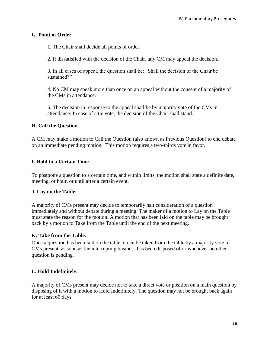#### **G. Point of Order.**

1. The Chair shall decide all points of order.

2. If dissatisfied with the decision of the Chair, any CM may appeal the decision.

3. In all cases of appeal, the question shall be: "Shall the decision of the Chair be sustained?"

4. No CM may speak more than once on an appeal without the consent of a majority of the CMs in attendance.

5. The decision in response to the appeal shall be by majority vote of the CMs in attendance. In case of a tie vote, the decision of the Chair shall stand.

#### **H. Call the Question.**

A CM may make a motion to Call the Question (also known as Previous Question) to end debate on an immediate pending motion. This motion requires a two-thirds vote in favor.

#### **I. Hold to a Certain Time.**

To postpone a question to a certain time, and within limits, the motion shall state a definite date, meeting, or hour, or until after a certain event.

#### **J. Lay on the Table.**

A majority of CMs present may decide to temporarily halt consideration of a question immediately and without debate during a meeting. The maker of a motion to Lay on the Table must state the reason for the motion. A motion that has been laid on the table may be brought back by a motion to Take from the Table until the end of the next meeting.

#### **K. Take from the Table.**

Once a question has been laid on the table, it can be taken from the table by a majority vote of CMs present, as soon as the interrupting business has been disposed of or whenever no other question is pending.

#### **L. Hold Indefinitely.**

A majority of CMs present may decide not to take a direct vote or position on a main question by disposing of it with a motion to Hold Indefinitely. The question may not be brought back again for at least 60 days.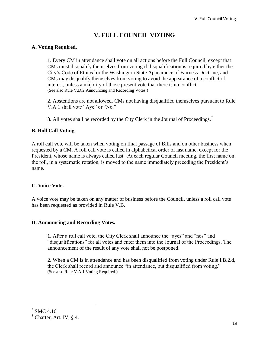# **V. FULL COUNCIL VOTING**

#### **A. Voting Required.**

1. Every CM in attendance shall vote on all actions before the Full Council, except that CMs must disqualify themselves from voting if disqualification is required by either the City's Code of Ethics<sup>\*</sup> or the Washington State Appearance of Fairness Doctrine, and CMs may disqualify themselves from voting to avoid the appearance of a conflict of interest, unless a majority of those present vote that there is no conflict. (See also Rule V.D.2 Announcing and Recording Votes.)

2. Abstentions are not allowed. CMs not having disqualified themselves pursuant to Rule V.A.1 shall vote "Aye" or "No."

3. All votes shall be recorded by the City Clerk in the Journal of Proceedings.<sup>†</sup>

#### **B. Roll Call Voting.**

A roll call vote will be taken when voting on final passage of Bills and on other business when requested by a CM. A roll call vote is called in alphabetical order of last name, except for the President, whose name is always called last. At each regular Council meeting, the first name on the roll, in a systematic rotation, is moved to the name immediately preceding the President's name.

#### **C. Voice Vote.**

A voice vote may be taken on any matter of business before the Council, unless a roll call vote has been requested as provided in Rule V.B.

#### **D. Announcing and Recording Votes.**

1. After a roll call vote, the City Clerk shall announce the "ayes" and "nos" and "disqualifications" for all votes and enter them into the Journal of the Proceedings. The announcement of the result of any vote shall not be postponed.

2. When a CM is in attendance and has been disqualified from voting under Rule I.B.2.d, the Clerk shall record and announce "in attendance, but disqualified from voting." (See also Rule V.A.1 Voting Required.)

 $\overline{a}$ 

<sup>\*</sup> SMC 4.16.

 $\dagger$  Charter, Art. IV,  $\delta$  4.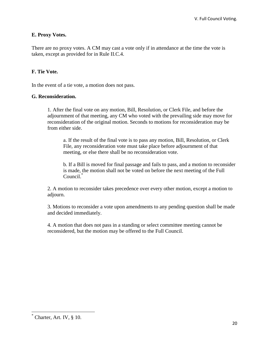#### **E. Proxy Votes.**

There are no proxy votes. A CM may cast a vote only if in attendance at the time the vote is taken, except as provided for in Rule II.C.4.

#### **F. Tie Vote.**

In the event of a tie vote, a motion does not pass.

#### **G. Reconsideration.**

1. After the final vote on any motion, Bill, Resolution, or Clerk File, and before the adjournment of that meeting, any CM who voted with the prevailing side may move for reconsideration of the original motion. Seconds to motions for reconsideration may be from either side.

a. If the result of the final vote is to pass any motion, Bill, Resolution, or Clerk File, any reconsideration vote must take place before adjournment of that meeting, or else there shall be no reconsideration vote.

b. If a Bill is moved for final passage and fails to pass, and a motion to reconsider is made, the motion shall not be voted on before the next meeting of the Full Council.\*

2. A motion to reconsider takes precedence over every other motion, except a motion to adjourn.

3. Motions to reconsider a vote upon amendments to any pending question shall be made and decided immediately.

4. A motion that does not pass in a standing or select committee meeting cannot be reconsidered, but the motion may be offered to the Full Council.

 $\overline{\phantom{a}}$ 

 $\overline{C}$  Charter, Art. IV,  $\S$  10.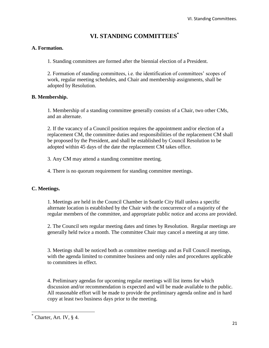# **VI. STANDING COMMITTEES\***

#### **A. Formation.**

1. Standing committees are formed after the biennial election of a President.

2. Formation of standing committees, i.e. the identification of committees' scopes of work, regular meeting schedules, and Chair and membership assignments, shall be adopted by Resolution.

#### **B. Membership.**

1. Membership of a standing committee generally consists of a Chair, two other CMs, and an alternate.

2. If the vacancy of a Council position requires the appointment and/or election of a replacement CM, the committee duties and responsibilities of the replacement CM shall be proposed by the President, and shall be established by Council Resolution to be adopted within 45 days of the date the replacement CM takes office.

3. Any CM may attend a standing committee meeting.

4. There is no quorum requirement for standing committee meetings.

#### **C. Meetings.**

1. Meetings are held in the Council Chamber in Seattle City Hall unless a specific alternate location is established by the Chair with the concurrence of a majority of the regular members of the committee, and appropriate public notice and access are provided.

2. The Council sets regular meeting dates and times by Resolution. Regular meetings are generally held twice a month. The committee Chair may cancel a meeting at any time.

3. Meetings shall be noticed both as committee meetings and as Full Council meetings, with the agenda limited to committee business and only rules and procedures applicable to committees in effect.

4. Preliminary agendas for upcoming regular meetings will list items for which discussion and/or recommendation is expected and will be made available to the public. All reasonable effort will be made to provide the preliminary agenda online and in hard copy at least two business days prior to the meeting.

 $\overline{\phantom{a}}$ 

Charter, Art. IV, § 4.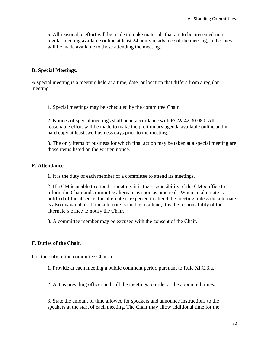5. All reasonable effort will be made to make materials that are to be presented in a regular meeting available online at least 24 hours in advance of the meeting, and copies will be made available to those attending the meeting.

#### **D. Special Meetings.**

A special meeting is a meeting held at a time, date, or location that differs from a regular meeting.

1. Special meetings may be scheduled by the committee Chair.

2. Notices of special meetings shall be in accordance with RCW 42.30.080. All reasonable effort will be made to make the preliminary agenda available online and in hard copy at least two business days prior to the meeting.

3. The only items of business for which final action may be taken at a special meeting are those items listed on the written notice.

#### **E. Attendance.**

1. It is the duty of each member of a committee to attend its meetings.

2. If a CM is unable to attend a meeting, it is the responsibility of the CM's office to inform the Chair and committee alternate as soon as practical. When an alternate is notified of the absence, the alternate is expected to attend the meeting unless the alternate is also unavailable. If the alternate is unable to attend, it is the responsibility of the alternate's office to notify the Chair.

3. A committee member may be excused with the consent of the Chair.

#### **F. Duties of the Chair.**

It is the duty of the committee Chair to:

1. Provide at each meeting a public comment period pursuant to Rule XI.C.3.a.

2. Act as presiding officer and call the meetings to order at the appointed times.

3. State the amount of time allowed for speakers and announce instructions to the speakers at the start of each meeting. The Chair may allow additional time for the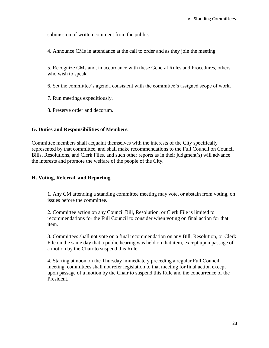submission of written comment from the public.

4. Announce CMs in attendance at the call to order and as they join the meeting.

5. Recognize CMs and, in accordance with these General Rules and Procedures, others who wish to speak.

6. Set the committee's agenda consistent with the committee's assigned scope of work.

7. Run meetings expeditiously.

8. Preserve order and decorum.

#### **G. Duties and Responsibilities of Members.**

Committee members shall acquaint themselves with the interests of the City specifically represented by that committee, and shall make recommendations to the Full Council on Council Bills, Resolutions, and Clerk Files, and such other reports as in their judgment(s) will advance the interests and promote the welfare of the people of the City.

#### **H. Voting, Referral, and Reporting.**

1. Any CM attending a standing committee meeting may vote, or abstain from voting, on issues before the committee.

2. Committee action on any Council Bill, Resolution, or Clerk File is limited to recommendations for the Full Council to consider when voting on final action for that item.

3. Committees shall not vote on a final recommendation on any Bill, Resolution, or Clerk File on the same day that a public hearing was held on that item, except upon passage of a motion by the Chair to suspend this Rule.

4. Starting at noon on the Thursday immediately preceding a regular Full Council meeting, committees shall not refer legislation to that meeting for final action except upon passage of a motion by the Chair to suspend this Rule and the concurrence of the President.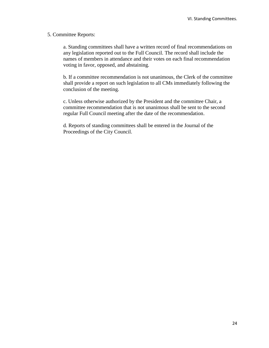#### 5. Committee Reports:

a. Standing committees shall have a written record of final recommendations on any legislation reported out to the Full Council. The record shall include the names of members in attendance and their votes on each final recommendation voting in favor, opposed, and abstaining.

b. If a committee recommendation is not unanimous, the Clerk of the committee shall provide a report on such legislation to all CMs immediately following the conclusion of the meeting.

c. Unless otherwise authorized by the President and the committee Chair, a committee recommendation that is not unanimous shall be sent to the second regular Full Council meeting after the date of the recommendation.

d. Reports of standing committees shall be entered in the Journal of the Proceedings of the City Council.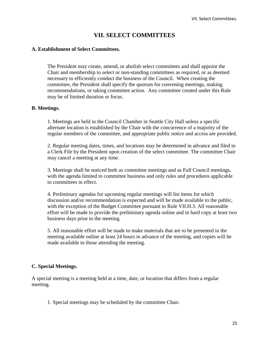# **VII. SELECT COMMITTEES**

#### **A. Establishment of Select Committees.**

The President may create, amend, or abolish select committees and shall appoint the Chair and membership to select or non-standing committees as required, or as deemed necessary to efficiently conduct the business of the Council. When creating the committee, the President shall specify the quorum for convening meetings, making recommendations, or taking committee action. Any committee created under this Rule may be of limited duration or focus.

#### **B. Meetings.**

1. Meetings are held in the Council Chamber in Seattle City Hall unless a specific alternate location is established by the Chair with the concurrence of a majority of the regular members of the committee, and appropriate public notice and access are provided.

2. Regular meeting dates, times, and locations may be determined in advance and filed in a Clerk File by the President upon creation of the select committee. The committee Chair may cancel a meeting at any time.

3. Meetings shall be noticed both as committee meetings and as Full Council meetings, with the agenda limited to committee business and only rules and procedures applicable to committees in effect.

4. Preliminary agendas for upcoming regular meetings will list items for which discussion and/or recommendation is expected and will be made available to the public, with the exception of the Budget Committee pursuant to Rule VII.H.3. All reasonable effort will be made to provide the preliminary agenda online and in hard copy at least two business days prior to the meeting.

5. All reasonable effort will be made to make materials that are to be presented in the meeting available online at least 24 hours in advance of the meeting, and copies will be made available to those attending the meeting.

#### **C. Special Meetings.**

A special meeting is a meeting held at a time, date, or location that differs from a regular meeting.

1. Special meetings may be scheduled by the committee Chair.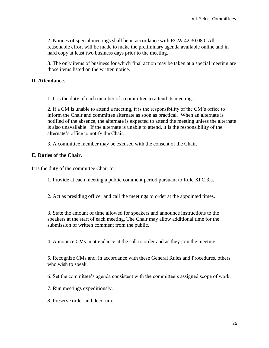2. Notices of special meetings shall be in accordance with RCW 42.30.080. All reasonable effort will be made to make the preliminary agenda available online and in hard copy at least two business days prior to the meeting.

3. The only items of business for which final action may be taken at a special meeting are those items listed on the written notice.

#### **D. Attendance.**

1. It is the duty of each member of a committee to attend its meetings.

2. If a CM is unable to attend a meeting, it is the responsibility of the CM's office to inform the Chair and committee alternate as soon as practical. When an alternate is notified of the absence, the alternate is expected to attend the meeting unless the alternate is also unavailable. If the alternate is unable to attend, it is the responsibility of the alternate's office to notify the Chair.

3. A committee member may be excused with the consent of the Chair.

#### **E. Duties of the Chair.**

It is the duty of the committee Chair to:

1. Provide at each meeting a public comment period pursuant to Rule XI.C.3.a.

2. Act as presiding officer and call the meetings to order at the appointed times.

3. State the amount of time allowed for speakers and announce instructions to the speakers at the start of each meeting. The Chair may allow additional time for the submission of written comment from the public.

4. Announce CMs in attendance at the call to order and as they join the meeting.

5. Recognize CMs and, in accordance with these General Rules and Procedures, others who wish to speak.

6. Set the committee's agenda consistent with the committee's assigned scope of work.

7. Run meetings expeditiously.

8. Preserve order and decorum.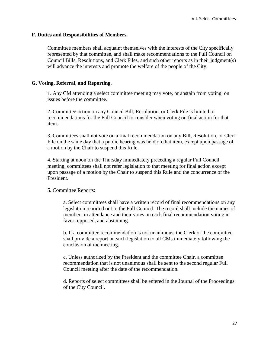#### **F. Duties and Responsibilities of Members.**

Committee members shall acquaint themselves with the interests of the City specifically represented by that committee, and shall make recommendations to the Full Council on Council Bills, Resolutions, and Clerk Files, and such other reports as in their judgment(s) will advance the interests and promote the welfare of the people of the City.

#### **G. Voting, Referral, and Reporting.**

1. Any CM attending a select committee meeting may vote, or abstain from voting, on issues before the committee.

2. Committee action on any Council Bill, Resolution, or Clerk File is limited to recommendations for the Full Council to consider when voting on final action for that item.

3. Committees shall not vote on a final recommendation on any Bill, Resolution, or Clerk File on the same day that a public hearing was held on that item, except upon passage of a motion by the Chair to suspend this Rule.

4. Starting at noon on the Thursday immediately preceding a regular Full Council meeting, committees shall not refer legislation to that meeting for final action except upon passage of a motion by the Chair to suspend this Rule and the concurrence of the President.

#### 5. Committee Reports:

a. Select committees shall have a written record of final recommendations on any legislation reported out to the Full Council. The record shall include the names of members in attendance and their votes on each final recommendation voting in favor, opposed, and abstaining.

b. If a committee recommendation is not unanimous, the Clerk of the committee shall provide a report on such legislation to all CMs immediately following the conclusion of the meeting.

c. Unless authorized by the President and the committee Chair, a committee recommendation that is not unanimous shall be sent to the second regular Full Council meeting after the date of the recommendation.

d. Reports of select committees shall be entered in the Journal of the Proceedings of the City Council.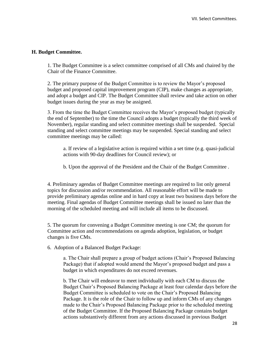#### **H. Budget Committee.**

1. The Budget Committee is a select committee comprised of all CMs and chaired by the Chair of the Finance Committee.

2. The primary purpose of the Budget Committee is to review the Mayor's proposed budget and proposed capital improvement program (CIP), make changes as appropriate, and adopt a budget and CIP. The Budget Committee shall review and take action on other budget issues during the year as may be assigned.

3. From the time the Budget Committee receives the Mayor's proposed budget (typically the end of September) to the time the Council adopts a budget (typically the third week of November), regular standing and select committee meetings shall be suspended. Special standing and select committee meetings may be suspended. Special standing and select committee meetings may be called:

a. If review of a legislative action is required within a set time (e.g. quasi-judicial actions with 90-day deadlines for Council review); or

b. Upon the approval of the President and the Chair of the Budget Committee .

4. Preliminary agendas of Budget Committee meetings are required to list only general topics for discussion and/or recommendation. All reasonable effort will be made to provide preliminary agendas online and in hard copy at least two business days before the meeting. Final agendas of Budget Committee meetings shall be issued no later than the morning of the scheduled meeting and will include all items to be discussed.

5. The quorum for convening a Budget Committee meeting is one CM; the quorum for Committee action and recommendations on agenda adoption, legislation, or budget changes is five CMs.

6. Adoption of a Balanced Budget Package:

a. The Chair shall prepare a group of budget actions (Chair's Proposed Balancing Package) that if adopted would amend the Mayor's proposed budget and pass a budget in which expenditures do not exceed revenues.

b. The Chair will endeavor to meet individually with each CM to discuss the Budget Chair's Proposed Balancing Package at least four calendar days before the Budget Committee is scheduled to vote on the Chair's Proposed Balancing Package. It is the role of the Chair to follow up and inform CMs of any changes made to the Chair's Proposed Balancing Package prior to the scheduled meeting of the Budget Committee. If the Proposed Balancing Package contains budget actions substantively different from any actions discussed in previous Budget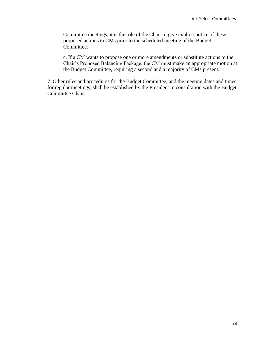Committee meetings, it is the role of the Chair to give explicit notice of these proposed actions to CMs prior to the scheduled meeting of the Budget Committee.

c. If a CM wants to propose one or more amendments or substitute actions to the Chair's Proposed Balancing Package, the CM must make an appropriate motion at the Budget Committee, requiring a second and a majority of CMs present.

7. Other rules and procedures for the Budget Committee, and the meeting dates and times for regular meetings, shall be established by the President in consultation with the Budget Committee Chair.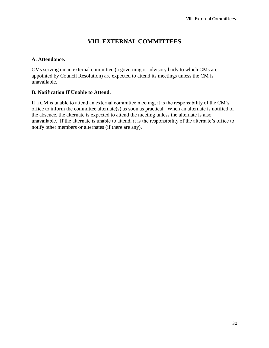# **VIII. EXTERNAL COMMITTEES**

#### **A. Attendance.**

CMs serving on an external committee (a governing or advisory body to which CMs are appointed by Council Resolution) are expected to attend its meetings unless the CM is unavailable.

#### **B. Notification If Unable to Attend.**

If a CM is unable to attend an external committee meeting, it is the responsibility of the CM's office to inform the committee alternate(s) as soon as practical. When an alternate is notified of the absence, the alternate is expected to attend the meeting unless the alternate is also unavailable. If the alternate is unable to attend, it is the responsibility of the alternate's office to notify other members or alternates (if there are any).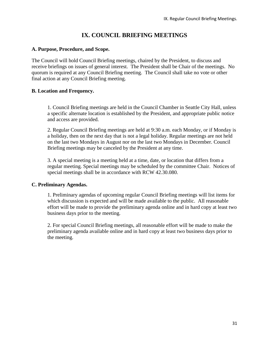# **IX. COUNCIL BRIEFING MEETINGS**

#### **A. Purpose, Procedure, and Scope.**

The Council will hold Council Briefing meetings, chaired by the President, to discuss and receive briefings on issues of general interest. The President shall be Chair of the meetings. No quorum is required at any Council Briefing meeting. The Council shall take no vote or other final action at any Council Briefing meeting.

#### **B. Location and Frequency.**

1. Council Briefing meetings are held in the Council Chamber in Seattle City Hall, unless a specific alternate location is established by the President, and appropriate public notice and access are provided.

2. Regular Council Briefing meetings are held at 9:30 a.m. each Monday, or if Monday is a holiday, then on the next day that is not a legal holiday. Regular meetings are not held on the last two Mondays in August nor on the last two Mondays in December. Council Briefing meetings may be canceled by the President at any time.

3. A special meeting is a meeting held at a time, date, or location that differs from a regular meeting. Special meetings may be scheduled by the committee Chair. Notices of special meetings shall be in accordance with RCW 42.30.080.

#### **C. Preliminary Agendas.**

1. Preliminary agendas of upcoming regular Council Briefing meetings will list items for which discussion is expected and will be made available to the public. All reasonable effort will be made to provide the preliminary agenda online and in hard copy at least two business days prior to the meeting.

2. For special Council Briefing meetings, all reasonable effort will be made to make the preliminary agenda available online and in hard copy at least two business days prior to the meeting.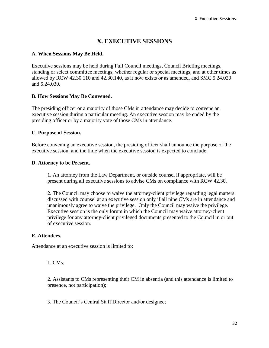# **X. EXECUTIVE SESSIONS**

#### **A. When Sessions May Be Held.**

Executive sessions may be held during Full Council meetings, Council Briefing meetings, standing or select committee meetings, whether regular or special meetings, and at other times as allowed by RCW 42.30.110 and 42.30.140, as it now exists or as amended, and SMC 5.24.020 and 5.24.030.

#### **B. How Sessions May Be Convened.**

The presiding officer or a majority of those CMs in attendance may decide to convene an executive session during a particular meeting. An executive session may be ended by the presiding officer or by a majority vote of those CMs in attendance.

#### **C. Purpose of Session.**

Before convening an executive session, the presiding officer shall announce the purpose of the executive session, and the time when the executive session is expected to conclude.

#### **D. Attorney to be Present.**

1. An attorney from the Law Department, or outside counsel if appropriate, will be present during all executive sessions to advise CMs on compliance with RCW 42.30.

2. The Council may choose to waive the attorney-client privilege regarding legal matters discussed with counsel at an executive session only if all nine CMs are in attendance and unanimously agree to waive the privilege. Only the Council may waive the privilege. Executive session is the only forum in which the Council may waive attorney-client privilege for any attorney-client privileged documents presented to the Council in or out of executive session.

#### **E. Attendees.**

Attendance at an executive session is limited to:

1. CMs;

2. Assistants to CMs representing their CM in absentia (and this attendance is limited to presence, not participation);

3. The Council's Central Staff Director and/or designee;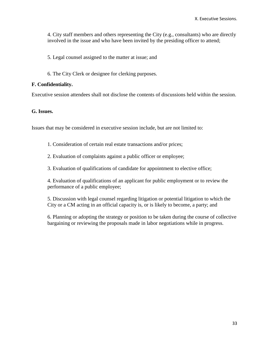4. City staff members and others representing the City (e.g., consultants) who are directly involved in the issue and who have been invited by the presiding officer to attend;

- 5. Legal counsel assigned to the matter at issue; and
- 6. The City Clerk or designee for clerking purposes.

#### **F. Confidentiality.**

Executive session attendees shall not disclose the contents of discussions held within the session.

#### **G. Issues.**

Issues that may be considered in executive session include, but are not limited to:

- 1. Consideration of certain real estate transactions and/or prices;
- 2. Evaluation of complaints against a public officer or employee;
- 3. Evaluation of qualifications of candidate for appointment to elective office;

4. Evaluation of qualifications of an applicant for public employment or to review the performance of a public employee;

5. Discussion with legal counsel regarding litigation or potential litigation to which the City or a CM acting in an official capacity is, or is likely to become, a party; and

6. Planning or adopting the strategy or position to be taken during the course of collective bargaining or reviewing the proposals made in labor negotiations while in progress.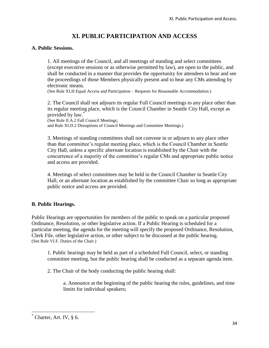# **XI. PUBLIC PARTICIPATION AND ACCESS**

#### **A. Public Sessions.**

1. All meetings of the Council, and all meetings of standing and select committees (except executive sessions or as otherwise permitted by law), are open to the public, and shall be conducted in a manner that provides the opportunity for attendees to hear and see the proceedings of those Members physically present and to hear any CMs attending by electronic means.

(See Rule XI.H Equal Access and Participation – Requests for Reasonable Accommodation.)

2. The Council shall not adjourn its regular Full Council meetings to any place other than its regular meeting place, which is the Council Chamber in Seattle City Hall, except as provided by law.\*

(See Rule II.A.2 Full Council Meetings;

and Rule XI.D.2 Disruptions of Council Meetings and Committee Meetings.)

3. Meetings of standing committees shall not convene in or adjourn to any place other than that committee's regular meeting place, which is the Council Chamber in Seattle City Hall, unless a specific alternate location is established by the Chair with the concurrence of a majority of the committee's regular CMs and appropriate public notice and access are provided.

4. Meetings of select committees may be held in the Council Chamber in Seattle City Hall, or an alternate location as established by the committee Chair so long as appropriate public notice and access are provided.

#### **B. Public Hearings.**

Public Hearings are opportunities for members of the public to speak on a particular proposed Ordinance, Resolution, or other legislative action. If a Public Hearing is scheduled for a particular meeting, the agenda for the meeting will specify the proposed Ordinance, Resolution, Clerk File, other legislative action, or other subject to be discussed at the public hearing. (See Rule VI.F. Duties of the Chair.)

1. Public hearings may be held as part of a scheduled Full Council, select, or standing committee meeting, but the public hearing shall be conducted as a separate agenda item.

2. The Chair of the body conducting the public hearing shall:

a. Announce at the beginning of the public hearing the rules, guidelines, and time limits for individual speakers;

 $\overline{\phantom{a}}$ 

 $\overline{C}$  Charter, Art. IV,  $\delta$  6.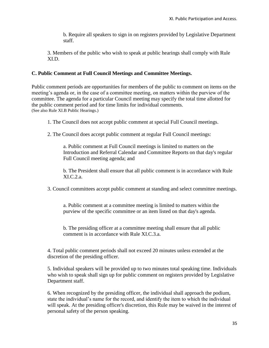b. Require all speakers to sign in on registers provided by Legislative Department staff.

3. Members of the public who wish to speak at public hearings shall comply with Rule XI.D.

#### **C. Public Comment at Full Council Meetings and Committee Meetings.**

Public comment periods are opportunities for members of the public to comment on items on the meeting's agenda or, in the case of a committee meeting, on matters within the purview of the committee. The agenda for a particular Council meeting may specify the total time allotted for the public comment period and for time limits for individual comments. (See also Rule XI.B Public Hearings.)

1. The Council does not accept public comment at special Full Council meetings.

2. The Council does accept public comment at regular Full Council meetings:

a. Public comment at Full Council meetings is limited to matters on the Introduction and Referral Calendar and Committee Reports on that day's regular Full Council meeting agenda; and

b. The President shall ensure that all public comment is in accordance with Rule XI.C.2.a.

3. Council committees accept public comment at standing and select committee meetings.

a. Public comment at a committee meeting is limited to matters within the purview of the specific committee or an item listed on that day's agenda.

b. The presiding officer at a committee meeting shall ensure that all public comment is in accordance with Rule XI.C.3.a.

4. Total public comment periods shall not exceed 20 minutes unless extended at the discretion of the presiding officer.

5. Individual speakers will be provided up to two minutes total speaking time. Individuals who wish to speak shall sign up for public comment on registers provided by Legislative Department staff.

6. When recognized by the presiding officer, the individual shall approach the podium, state the individual's name for the record, and identify the item to which the individual will speak. At the presiding officer's discretion, this Rule may be waived in the interest of personal safety of the person speaking.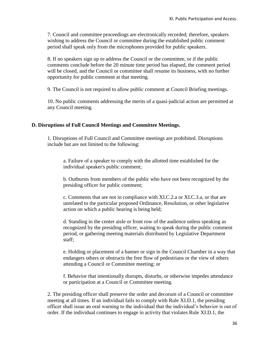7. Council and committee proceedings are electronically recorded; therefore, speakers wishing to address the Council or committee during the established public comment period shall speak only from the microphones provided for public speakers.

8. If no speakers sign up to address the Council or the committee, or if the public comments conclude before the 20 minute time period has elapsed, the comment period will be closed, and the Council or committee shall resume its business, with no further opportunity for public comment at that meeting.

9. The Council is not required to allow public comment at Council Briefing meetings.

10. No public comments addressing the merits of a quasi-judicial action are permitted at any Council meeting.

#### **D. Disruptions of Full Council Meetings and Committee Meetings.**

1. Disruptions of Full Council and Committee meetings are prohibited. Disruptions include but are not limited to the following:

a. Failure of a speaker to comply with the allotted time established for the individual speaker's public comment;

b. Outbursts from members of the public who have not been recognized by the presiding officer for public comment;

c. Comments that are not in compliance with XI.C.2.a or XI.C.3.a, or that are unrelated to the particular proposed Ordinance, Resolution, or other legislative action on which a public hearing is being held;

d. Standing in the center aisle or front row of the audience unless speaking as recognized by the presiding officer, waiting to speak during the public comment period, or gathering meeting materials distributed by Legislative Department staff;

e. Holding or placement of a banner or sign in the Council Chamber in a way that endangers others or obstructs the free flow of pedestrians or the view of others attending a Council or Committee meeting; or

f. Behavior that intentionally disrupts, disturbs, or otherwise impedes attendance or participation at a Council or Committee meeting.

2. The presiding officer shall preserve the order and decorum of a Council or committee meeting at all times. If an individual fails to comply with Rule XI.D.1, the presiding officer shall issue an oral warning to the individual that the individual's behavior is out of order. If the individual continues to engage in activity that violates Rule XI.D.1, the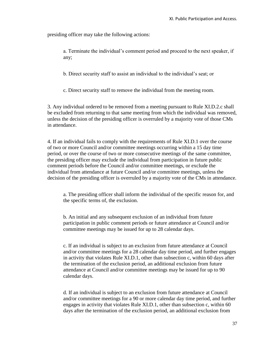presiding officer may take the following actions:

a. Terminate the individual's comment period and proceed to the next speaker, if any;

b. Direct security staff to assist an individual to the individual's seat; or

c. Direct security staff to remove the individual from the meeting room.

3. Any individual ordered to be removed from a meeting pursuant to Rule XI.D.2.c shall be excluded from returning to that same meeting from which the individual was removed, unless the decision of the presiding officer is overruled by a majority vote of those CMs in attendance.

4. If an individual fails to comply with the requirements of Rule XI.D.1 over the course of two or more Council and/or committee meetings occurring within a 15 day time period, or over the course of two or more consecutive meetings of the same committee, the presiding officer may exclude the individual from participation in future public comment periods before the Council and/or committee meetings, or exclude the individual from attendance at future Council and/or committee meetings, unless the decision of the presiding officer is overruled by a majority vote of the CMs in attendance.

a. The presiding officer shall inform the individual of the specific reason for, and the specific terms of, the exclusion.

b. An initial and any subsequent exclusion of an individual from future participation in public comment periods or future attendance at Council and/or committee meetings may be issued for up to 28 calendar days.

c. If an individual is subject to an exclusion from future attendance at Council and/or committee meetings for a 28 calendar day time period, and further engages in activity that violates Rule XI.D.1, other than subsection c, within 60 days after the termination of the exclusion period, an additional exclusion from future attendance at Council and/or committee meetings may be issued for up to 90 calendar days.

d. If an individual is subject to an exclusion from future attendance at Council and/or committee meetings for a 90 or more calendar day time period, and further engages in activity that violates Rule XI.D.1, other than subsection c, within 60 days after the termination of the exclusion period, an additional exclusion from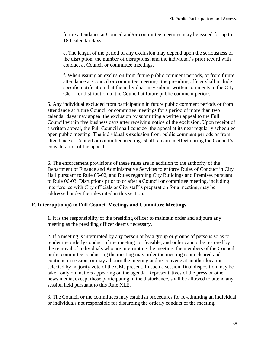future attendance at Council and/or committee meetings may be issued for up to 180 calendar days.

e. The length of the period of any exclusion may depend upon the seriousness of the disruption, the number of disruptions, and the individual's prior record with conduct at Council or committee meetings.

f. When issuing an exclusion from future public comment periods, or from future attendance at Council or committee meetings, the presiding officer shall include specific notification that the individual may submit written comments to the City Clerk for distribution to the Council at future public comment periods.

5. Any individual excluded from participation in future public comment periods or from attendance at future Council or committee meetings for a period of more than two calendar days may appeal the exclusion by submitting a written appeal to the Full Council within five business days after receiving notice of the exclusion. Upon receipt of a written appeal, the Full Council shall consider the appeal at its next regularly scheduled open public meeting. The individual's exclusion from public comment periods or from attendance at Council or committee meetings shall remain in effect during the Council's consideration of the appeal.

6. The enforcement provisions of these rules are in addition to the authority of the Department of Finance and Administrative Services to enforce Rules of Conduct in City Hall pursuant to Rule 05-02, and Rules regarding City Buildings and Premises pursuant to Rule 06-03. Disruptions prior to or after a Council or committee meeting, including interference with City officials or City staff's preparation for a meeting, may be addressed under the rules cited in this section.

#### **E. Interruption(s) to Full Council Meetings and Committee Meetings.**

1. It is the responsibility of the presiding officer to maintain order and adjourn any meeting as the presiding officer deems necessary.

2. If a meeting is interrupted by any person or by a group or groups of persons so as to render the orderly conduct of the meeting not feasible, and order cannot be restored by the removal of individuals who are interrupting the meeting, the members of the Council or the committee conducting the meeting may order the meeting room cleared and continue in session, or may adjourn the meeting and re-convene at another location selected by majority vote of the CMs present. In such a session, final disposition may be taken only on matters appearing on the agenda. Representatives of the press or other news media, except those participating in the disturbance, shall be allowed to attend any session held pursuant to this Rule XI.E.

3. The Council or the committees may establish procedures for re-admitting an individual or individuals not responsible for disturbing the orderly conduct of the meeting.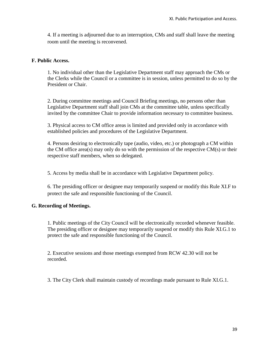4. If a meeting is adjourned due to an interruption, CMs and staff shall leave the meeting room until the meeting is reconvened.

#### **F. Public Access.**

1. No individual other than the Legislative Department staff may approach the CMs or the Clerks while the Council or a committee is in session, unless permitted to do so by the President or Chair.

2. During committee meetings and Council Briefing meetings, no persons other than Legislative Department staff shall join CMs at the committee table, unless specifically invited by the committee Chair to provide information necessary to committee business.

3. Physical access to CM office areas is limited and provided only in accordance with established policies and procedures of the Legislative Department.

4. Persons desiring to electronically tape (audio, video, etc.) or photograph a CM within the CM office area(s) may only do so with the permission of the respective  $CM(s)$  or their respective staff members, when so delegated.

5. Access by media shall be in accordance with Legislative Department policy.

6. The presiding officer or designee may temporarily suspend or modify this Rule XI.F to protect the safe and responsible functioning of the Council.

#### **G. Recording of Meetings.**

1. Public meetings of the City Council will be electronically recorded whenever feasible. The presiding officer or designee may temporarily suspend or modify this Rule XI.G.1 to protect the safe and responsible functioning of the Council.

2. Executive sessions and those meetings exempted from RCW 42.30 will not be recorded.

3. The City Clerk shall maintain custody of recordings made pursuant to Rule XI.G.1.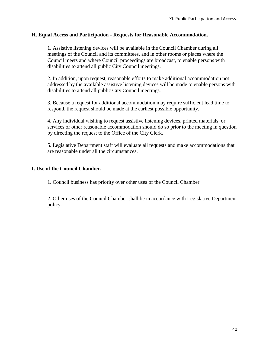#### **H. Equal Access and Participation - Requests for Reasonable Accommodation.**

1. Assistive listening devices will be available in the Council Chamber during all meetings of the Council and its committees, and in other rooms or places where the Council meets and where Council proceedings are broadcast, to enable persons with disabilities to attend all public City Council meetings.

2. In addition, upon request, reasonable efforts to make additional accommodation not addressed by the available assistive listening devices will be made to enable persons with disabilities to attend all public City Council meetings.

3. Because a request for additional accommodation may require sufficient lead time to respond, the request should be made at the earliest possible opportunity.

4. Any individual wishing to request assistive listening devices, printed materials, or services or other reasonable accommodation should do so prior to the meeting in question by directing the request to the Office of the City Clerk.

5. Legislative Department staff will evaluate all requests and make accommodations that are reasonable under all the circumstances.

#### **I. Use of the Council Chamber.**

1. Council business has priority over other uses of the Council Chamber.

2. Other uses of the Council Chamber shall be in accordance with Legislative Department policy.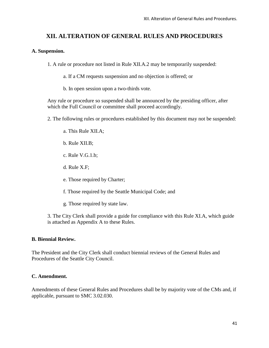# **XII. ALTERATION OF GENERAL RULES AND PROCEDURES**

#### **A. Suspension.**

1. A rule or procedure not listed in Rule XII.A.2 may be temporarily suspended:

a. If a CM requests suspension and no objection is offered; or

b. In open session upon a two-thirds vote.

Any rule or procedure so suspended shall be announced by the presiding officer, after which the Full Council or committee shall proceed accordingly.

2. The following rules or procedures established by this document may not be suspended:

a. This Rule XII.A;

- b. Rule XII.B;
- c. Rule V.G.1.b;
- d. Rule X.F;
- e. Those required by Charter;
- f. Those required by the Seattle Municipal Code; and
- g. Those required by state law.

3. The City Clerk shall provide a guide for compliance with this Rule XI.A, which guide is attached as Appendix A to these Rules.

#### **B. Biennial Review.**

The President and the City Clerk shall conduct biennial reviews of the General Rules and Procedures of the Seattle City Council.

#### **C. Amendment.**

Amendments of these General Rules and Procedures shall be by majority vote of the CMs and, if applicable, pursuant to SMC 3.02.030.